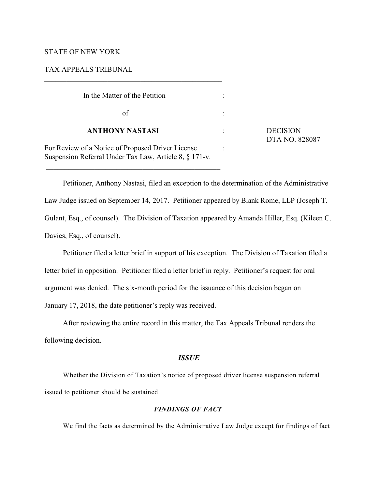# STATE OF NEW YORK

# TAX APPEALS TRIBUNAL

 $\overline{\phantom{a}}$  , and the set of the set of the set of the set of the set of the set of the set of the set of the set of the set of the set of the set of the set of the set of the set of the set of the set of the set of the s

\_\_\_\_\_\_\_\_\_\_\_\_\_\_\_\_\_\_\_\_\_\_\_\_\_\_\_\_\_\_\_\_\_\_\_\_\_\_\_\_\_\_\_\_\_\_\_

| In the Matter of the Petition                                                                               |                                   |
|-------------------------------------------------------------------------------------------------------------|-----------------------------------|
| of                                                                                                          |                                   |
| <b>ANTHONY NASTASI</b>                                                                                      | <b>DECISION</b><br>DTA NO. 828087 |
| For Review of a Notice of Proposed Driver License<br>Suspension Referral Under Tax Law, Article 8, § 171-v. |                                   |

Petitioner, Anthony Nastasi, filed an exception to the determination of the Administrative Law Judge issued on September 14, 2017. Petitioner appeared by Blank Rome, LLP (Joseph T. Gulant, Esq., of counsel). The Division of Taxation appeared by Amanda Hiller, Esq. (Kileen C. Davies, Esq., of counsel).

Petitioner filed a letter brief in support of his exception. The Division of Taxation filed a letter brief in opposition. Petitioner filed a letter brief in reply. Petitioner's request for oral argument was denied. The six-month period for the issuance of this decision began on January 17, 2018, the date petitioner's reply was received.

After reviewing the entire record in this matter, the Tax Appeals Tribunal renders the following decision.

### *ISSUE*

Whether the Division of Taxation's notice of proposed driver license suspension referral issued to petitioner should be sustained.

#### *FINDINGS OF FACT*

We find the facts as determined by the Administrative Law Judge except for findings of fact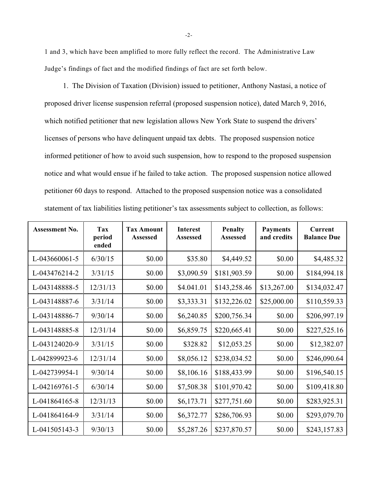1 and 3, which have been amplified to more fully reflect the record. The Administrative Law Judge's findings of fact and the modified findings of fact are set forth below.

1. The Division of Taxation (Division) issued to petitioner, Anthony Nastasi, a notice of proposed driver license suspension referral (proposed suspension notice), dated March 9, 2016, which notified petitioner that new legislation allows New York State to suspend the drivers' licenses of persons who have delinquent unpaid tax debts. The proposed suspension notice informed petitioner of how to avoid such suspension, how to respond to the proposed suspension notice and what would ensue if he failed to take action. The proposed suspension notice allowed petitioner 60 days to respond. Attached to the proposed suspension notice was a consolidated statement of tax liabilities listing petitioner's tax assessments subject to collection, as follows:

| <b>Assessment No.</b> | Tax<br>period<br>ended | <b>Tax Amount</b><br>Assessed | <b>Interest</b><br>Assessed | <b>Penalty</b><br>Assessed | <b>Payments</b><br>and credits | <b>Current</b><br><b>Balance Due</b> |
|-----------------------|------------------------|-------------------------------|-----------------------------|----------------------------|--------------------------------|--------------------------------------|
| L-043660061-5         | 6/30/15                | \$0.00                        | \$35.80                     | \$4,449.52                 | \$0.00                         | \$4,485.32                           |
| L-043476214-2         | 3/31/15                | \$0.00                        | \$3,090.59                  | \$181,903.59               | \$0.00                         | \$184,994.18                         |
| L-043148888-5         | 12/31/13               | \$0.00                        | \$4.041.01                  | \$143,258.46               | \$13,267.00                    | \$134,032.47                         |
| L-043148887-6         | 3/31/14                | \$0.00                        | \$3,333.31                  | \$132,226.02               | \$25,000.00                    | \$110,559.33                         |
| L-043148886-7         | 9/30/14                | \$0.00                        | \$6,240.85                  | \$200,756.34               | \$0.00                         | \$206,997.19                         |
| L-043148885-8         | 12/31/14               | \$0.00                        | \$6,859.75                  | \$220,665.41               | \$0.00                         | \$227,525.16                         |
| L-043124020-9         | 3/31/15                | \$0.00                        | \$328.82                    | \$12,053.25                | \$0.00                         | \$12,382.07                          |
| L-042899923-6         | 12/31/14               | \$0.00                        | \$8,056.12                  | \$238,034.52               | \$0.00                         | \$246,090.64                         |
| L-042739954-1         | 9/30/14                | \$0.00                        | \$8,106.16                  | \$188,433.99               | \$0.00                         | \$196,540.15                         |
| L-042169761-5         | 6/30/14                | \$0.00                        | \$7,508.38                  | \$101,970.42               | \$0.00                         | \$109,418.80                         |
| L-041864165-8         | 12/31/13               | \$0.00                        | \$6,173.71                  | \$277,751.60               | \$0.00                         | \$283,925.31                         |
| L-041864164-9         | 3/31/14                | \$0.00                        | \$6,372.77                  | \$286,706.93               | \$0.00                         | \$293,079.70                         |
| L-041505143-3         | 9/30/13                | \$0.00                        | \$5,287.26                  | \$237,870.57               | \$0.00                         | \$243,157.83                         |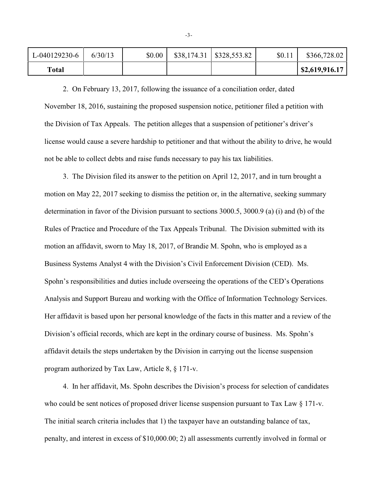| Total         |         |        |                            |        | $\mid$ \$2,619,916.17 |
|---------------|---------|--------|----------------------------|--------|-----------------------|
| L-040129230-6 | 6/30/13 | \$0.00 | $$38,174.31$ $$328,553.82$ | \$0.11 | \$366,728.02          |

2. On February 13, 2017, following the issuance of a conciliation order, dated November 18, 2016, sustaining the proposed suspension notice, petitioner filed a petition with the Division of Tax Appeals. The petition alleges that a suspension of petitioner's driver's license would cause a severe hardship to petitioner and that without the ability to drive, he would not be able to collect debts and raise funds necessary to pay his tax liabilities.

3. The Division filed its answer to the petition on April 12, 2017, and in turn brought a motion on May 22, 2017 seeking to dismiss the petition or, in the alternative, seeking summary determination in favor of the Division pursuant to sections 3000.5, 3000.9 (a) (i) and (b) of the Rules of Practice and Procedure of the Tax Appeals Tribunal. The Division submitted with its motion an affidavit, sworn to May 18, 2017, of Brandie M. Spohn, who is employed as a Business Systems Analyst 4 with the Division's Civil Enforcement Division (CED). Ms. Spohn's responsibilities and duties include overseeing the operations of the CED's Operations Analysis and Support Bureau and working with the Office of Information Technology Services. Her affidavit is based upon her personal knowledge of the facts in this matter and a review of the Division's official records, which are kept in the ordinary course of business. Ms. Spohn's affidavit details the steps undertaken by the Division in carrying out the license suspension program authorized by Tax Law, Article 8, § 171-v.

4. In her affidavit, Ms. Spohn describes the Division's process for selection of candidates who could be sent notices of proposed driver license suspension pursuant to Tax Law § 171-v. The initial search criteria includes that 1) the taxpayer have an outstanding balance of tax, penalty, and interest in excess of \$10,000.00; 2) all assessments currently involved in formal or

-3-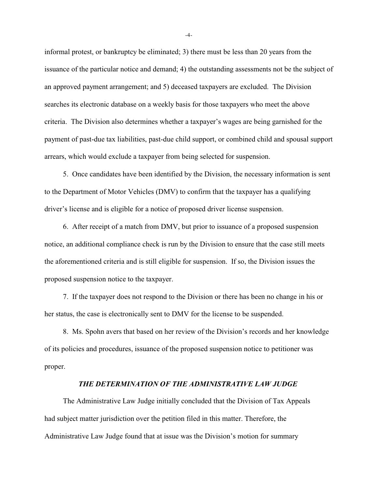informal protest, or bankruptcy be eliminated; 3) there must be less than 20 years from the issuance of the particular notice and demand; 4) the outstanding assessments not be the subject of an approved payment arrangement; and 5) deceased taxpayers are excluded. The Division searches its electronic database on a weekly basis for those taxpayers who meet the above criteria. The Division also determines whether a taxpayer's wages are being garnished for the payment of past-due tax liabilities, past-due child support, or combined child and spousal support arrears, which would exclude a taxpayer from being selected for suspension.

5. Once candidates have been identified by the Division, the necessary information is sent to the Department of Motor Vehicles (DMV) to confirm that the taxpayer has a qualifying driver's license and is eligible for a notice of proposed driver license suspension.

6. After receipt of a match from DMV, but prior to issuance of a proposed suspension notice, an additional compliance check is run by the Division to ensure that the case still meets the aforementioned criteria and is still eligible for suspension. If so, the Division issues the proposed suspension notice to the taxpayer.

7. If the taxpayer does not respond to the Division or there has been no change in his or her status, the case is electronically sent to DMV for the license to be suspended.

8. Ms. Spohn avers that based on her review of the Division's records and her knowledge of its policies and procedures, issuance of the proposed suspension notice to petitioner was proper.

## *THE DETERMINATION OF THE ADMINISTRATIVE LAW JUDGE*

The Administrative Law Judge initially concluded that the Division of Tax Appeals had subject matter jurisdiction over the petition filed in this matter. Therefore, the Administrative Law Judge found that at issue was the Division's motion for summary

-4-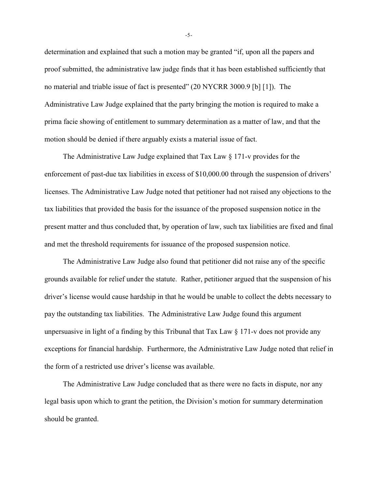determination and explained that such a motion may be granted "if, upon all the papers and proof submitted, the administrative law judge finds that it has been established sufficiently that no material and triable issue of fact is presented" (20 NYCRR 3000.9 [b] [1]). The Administrative Law Judge explained that the party bringing the motion is required to make a prima facie showing of entitlement to summary determination as a matter of law, and that the motion should be denied if there arguably exists a material issue of fact.

The Administrative Law Judge explained that Tax Law § 171-v provides for the enforcement of past-due tax liabilities in excess of \$10,000.00 through the suspension of drivers' licenses. The Administrative Law Judge noted that petitioner had not raised any objections to the tax liabilities that provided the basis for the issuance of the proposed suspension notice in the present matter and thus concluded that, by operation of law, such tax liabilities are fixed and final and met the threshold requirements for issuance of the proposed suspension notice.

The Administrative Law Judge also found that petitioner did not raise any of the specific grounds available for relief under the statute. Rather, petitioner argued that the suspension of his driver's license would cause hardship in that he would be unable to collect the debts necessary to pay the outstanding tax liabilities. The Administrative Law Judge found this argument unpersuasive in light of a finding by this Tribunal that Tax Law § 171-v does not provide any exceptions for financial hardship. Furthermore, the Administrative Law Judge noted that relief in the form of a restricted use driver's license was available.

The Administrative Law Judge concluded that as there were no facts in dispute, nor any legal basis upon which to grant the petition, the Division's motion for summary determination should be granted.

-5-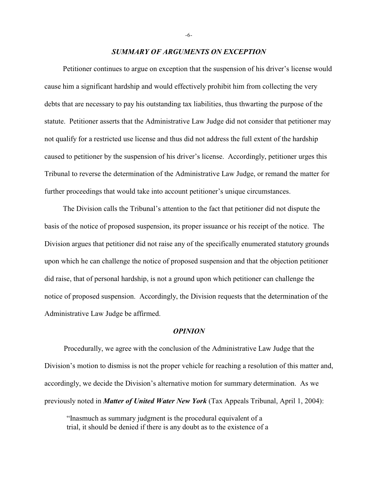### *SUMMARY OF ARGUMENTS ON EXCEPTION*

Petitioner continues to argue on exception that the suspension of his driver's license would cause him a significant hardship and would effectively prohibit him from collecting the very debts that are necessary to pay his outstanding tax liabilities, thus thwarting the purpose of the statute. Petitioner asserts that the Administrative Law Judge did not consider that petitioner may not qualify for a restricted use license and thus did not address the full extent of the hardship caused to petitioner by the suspension of his driver's license.Accordingly, petitioner urges this Tribunal to reverse the determination of the Administrative Law Judge, or remand the matter for further proceedings that would take into account petitioner's unique circumstances.

The Division calls the Tribunal's attention to the fact that petitioner did not dispute the basis of the notice of proposed suspension, its proper issuance or his receipt of the notice. The Division argues that petitioner did not raise any of the specifically enumerated statutory grounds upon which he can challenge the notice of proposed suspension and that the objection petitioner did raise, that of personal hardship, is not a ground upon which petitioner can challenge the notice of proposed suspension. Accordingly, the Division requests that the determination of the Administrative Law Judge be affirmed.

#### *OPINION*

 Procedurally, we agree with the conclusion of the Administrative Law Judge that the Division's motion to dismiss is not the proper vehicle for reaching a resolution of this matter and, accordingly, we decide the Division's alternative motion for summary determination. As we previously noted in *Matter of United Water New York* (Tax Appeals Tribunal, April 1, 2004):

"Inasmuch as summary judgment is the procedural equivalent of a trial, it should be denied if there is any doubt as to the existence of a

-6-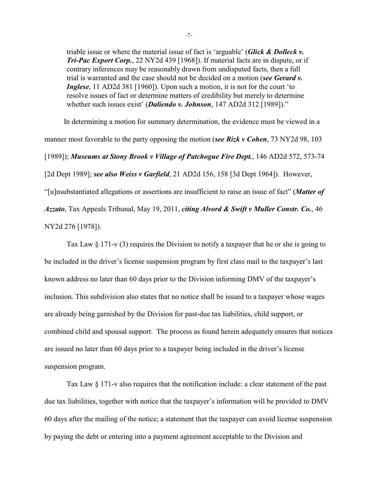triable issue or where the material issue of fact is 'arguable' (*Glick & Dolleck v. Tri-Pac Export Corp.*, 22 NY2d 439 [1968]). If material facts are in dispute, or if contrary inferences may be reasonably drawn from undisputed facts, then a full trial is warranted and the case should not be decided on a motion (*see Gerard v. Inglese*, 11 AD2d 381 [1960]). Upon such a motion, it is not for the court 'to resolve issues of fact or determine matters of credibility but merely to determine whether such issues exist' (*Daliendo v. Johnson*, 147 AD2d 312 [1989])."

In determining a motion for summary determination, the evidence must be viewed in a manner most favorable to the party opposing the motion (*see Rizk v Cohen*, 73 NY2d 98, 103 [1989]); *Museums at Stony Brook v Village of Patchogue Fire Dept.*, 146 AD2d 572, 573-74 [2d Dept 1989]; *see also Weiss v Garfield*, 21 AD2d 156, 158 [3d Dept 1964]). However, "[u]nsubstantiated allegations or assertions are insufficient to raise an issue of fact" (*Matter of Azzato*, Tax Appeals Tribunal, May 19, 2011, *citing Alvord & Swift v Muller Constr. Co.*, 46 NY2d 276 [1978]).

Tax Law § 171-v (3) requires the Division to notify a taxpayer that he or she is going to be included in the driver's license suspension program by first class mail to the taxpayer's last known address no later than 60 days prior to the Division informing DMV of the taxpayer's inclusion. This subdivision also states that no notice shall be issued to a taxpayer whose wages are already being garnished by the Division for past-due tax liabilities, child support, or combined child and spousal support. The process as found herein adequately ensures that notices are issued no later than 60 days prior to a taxpayer being included in the driver's license suspension program.

Tax Law § 171-v also requires that the notification include: a clear statement of the past due tax liabilities, together with notice that the taxpayer's information will be provided to DMV 60 days after the mailing of the notice; a statement that the taxpayer can avoid license suspension by paying the debt or entering into a payment agreement acceptable to the Division and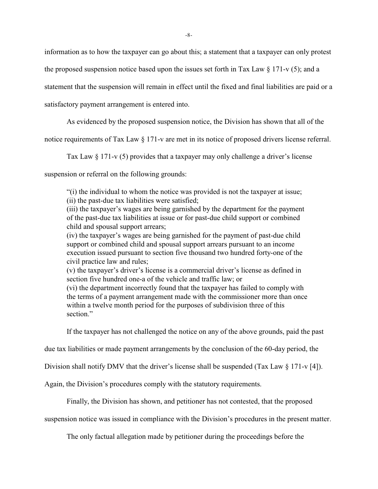information as to how the taxpayer can go about this; a statement that a taxpayer can only protest

the proposed suspension notice based upon the issues set forth in Tax Law  $\S 171$ -v (5); and a

statement that the suspension will remain in effect until the fixed and final liabilities are paid or a

satisfactory payment arrangement is entered into.

As evidenced by the proposed suspension notice, the Division has shown that all of the

notice requirements of Tax Law § 171-v are met in its notice of proposed drivers license referral.

Tax Law § 171-v (5) provides that a taxpayer may only challenge a driver's license

suspension or referral on the following grounds:

"(i) the individual to whom the notice was provided is not the taxpayer at issue;

(ii) the past-due tax liabilities were satisfied;

(iii) the taxpayer's wages are being garnished by the department for the payment of the past-due tax liabilities at issue or for past-due child support or combined child and spousal support arrears;

(iv) the taxpayer's wages are being garnished for the payment of past-due child support or combined child and spousal support arrears pursuant to an income execution issued pursuant to section five thousand two hundred forty-one of the civil practice law and rules;

(v) the taxpayer's driver's license is a commercial driver's license as defined in section five hundred one-a of the vehicle and traffic law; or

(vi) the department incorrectly found that the taxpayer has failed to comply with the terms of a payment arrangement made with the commissioner more than once within a twelve month period for the purposes of subdivision three of this section"

If the taxpayer has not challenged the notice on any of the above grounds, paid the past

due tax liabilities or made payment arrangements by the conclusion of the 60-day period, the

Division shall notify DMV that the driver's license shall be suspended (Tax Law § 171-v [4]).

Again, the Division's procedures comply with the statutory requirements.

Finally, the Division has shown, and petitioner has not contested, that the proposed

suspension notice was issued in compliance with the Division's procedures in the present matter.

The only factual allegation made by petitioner during the proceedings before the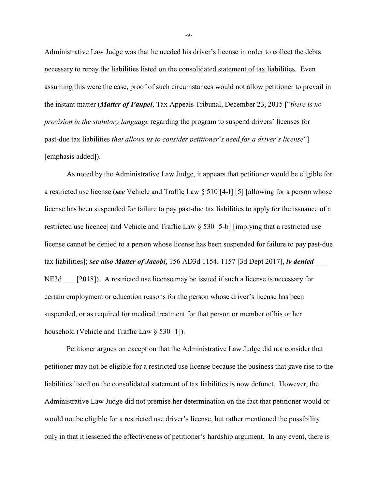Administrative Law Judge was that he needed his driver's license in order to collect the debts necessary to repay the liabilities listed on the consolidated statement of tax liabilities. Even assuming this were the case, proof of such circumstances would not allow petitioner to prevail in the instant matter (*Matter of Faupel*, Tax Appeals Tribunal, December 23, 2015 ["*there is no provision in the statutory language* regarding the program to suspend drivers' licenses for past-due tax liabilities *that allows us to consider petitioner's need for a driver's license*"] [emphasis added]).

As noted by the Administrative Law Judge, it appears that petitioner would be eligible for a restricted use license (*see* Vehicle and Traffic Law § 510 [4-f] [5] [allowing for a person whose license has been suspended for failure to pay past-due tax liabilities to apply for the issuance of a restricted use licence] and Vehicle and Traffic Law § 530 [5-b] [implying that a restricted use license cannot be denied to a person whose license has been suspended for failure to pay past-due tax liabilities]; *see also Matter of Jacobi*, 156 AD3d 1154, 1157 [3d Dept 2017], *lv denied* \_\_\_ NE3d [2018]). A restricted use license may be issued if such a license is necessary for certain employment or education reasons for the person whose driver's license has been suspended, or as required for medical treatment for that person or member of his or her household (Vehicle and Traffic Law § 530 [1]).

Petitioner argues on exception that the Administrative Law Judge did not consider that petitioner may not be eligible for a restricted use license because the business that gave rise to the liabilities listed on the consolidated statement of tax liabilities is now defunct. However, the Administrative Law Judge did not premise her determination on the fact that petitioner would or would not be eligible for a restricted use driver's license, but rather mentioned the possibility only in that it lessened the effectiveness of petitioner's hardship argument. In any event, there is

-9-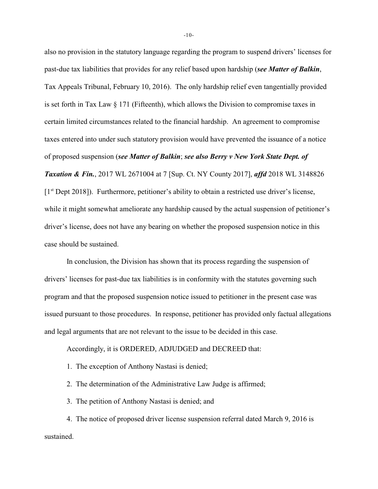also no provision in the statutory language regarding the program to suspend drivers' licenses for past-due tax liabilities that provides for any relief based upon hardship (*see Matter of Balkin*, Tax Appeals Tribunal, February 10, 2016). The only hardship relief even tangentially provided is set forth in Tax Law § 171 (Fifteenth), which allows the Division to compromise taxes in certain limited circumstances related to the financial hardship. An agreement to compromise taxes entered into under such statutory provision would have prevented the issuance of a notice of proposed suspension (*see Matter of Balkin*; *see also Berry v New York State Dept. of Taxation & Fin.*, 2017 WL 2671004 at 7 [Sup. Ct. NY County 2017], *affd* 2018 WL 3148826  $[1<sup>st</sup>$  Dept 2018]). Furthermore, petitioner's ability to obtain a restricted use driver's license, while it might somewhat ameliorate any hardship caused by the actual suspension of petitioner's driver's license, does not have any bearing on whether the proposed suspension notice in this case should be sustained.

 In conclusion, the Division has shown that its process regarding the suspension of drivers' licenses for past-due tax liabilities is in conformity with the statutes governing such program and that the proposed suspension notice issued to petitioner in the present case was issued pursuant to those procedures. In response, petitioner has provided only factual allegations and legal arguments that are not relevant to the issue to be decided in this case.

Accordingly, it is ORDERED, ADJUDGED and DECREED that:

1. The exception of Anthony Nastasi is denied;

2. The determination of the Administrative Law Judge is affirmed;

3. The petition of Anthony Nastasi is denied; and

4. The notice of proposed driver license suspension referral dated March 9, 2016 is sustained.